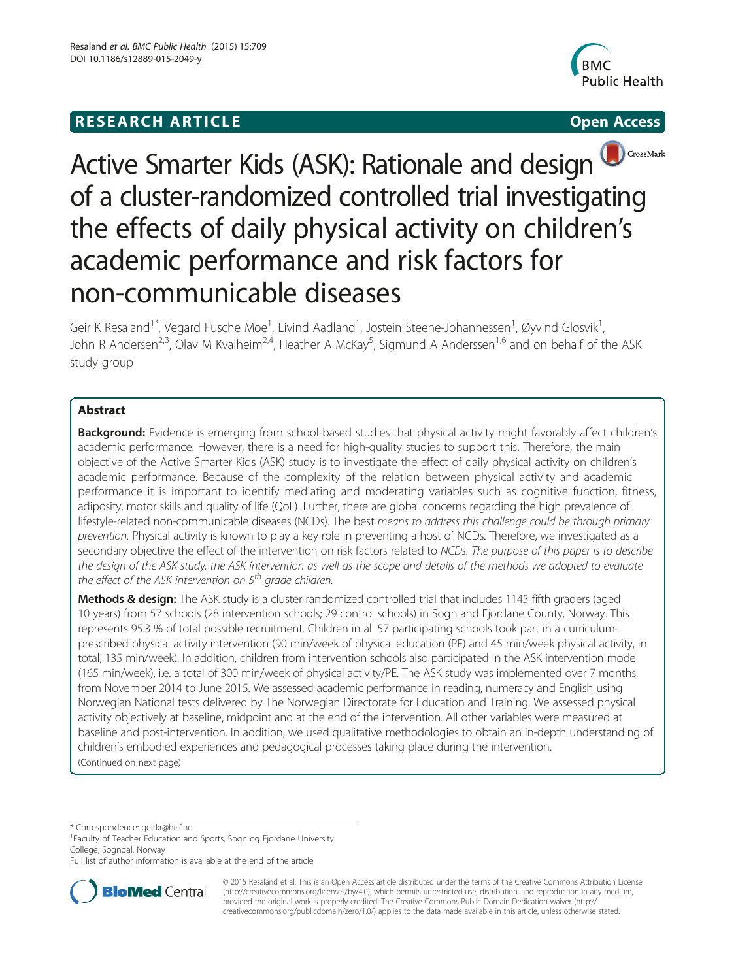# **RESEARCH ARTICLE Example 2008 CONSIDERING CONSIDERING CONSIDERING CONSIDERING CONSIDERING CONSIDERING CONSIDERING CONSIDERING CONSIDERING CONSIDERING CONSIDERING CONSIDERING CONSIDERING CONSIDERING CONSIDERING CONSIDE**





# Active Smarter Kids (ASK): Rationale and design of a cluster-randomized controlled trial investigating the effects of daily physical activity on children's academic performance and risk factors for non-communicable diseases

Geir K Resaland<sup>1\*</sup>, Vegard Fusche Moe<sup>1</sup>, Eivind Aadland<sup>1</sup>, Jostein Steene-Johannessen<sup>1</sup>, Øyvind Glosvik<sup>1</sup> , John R Andersen<sup>2,3</sup>, Olav M Kvalheim<sup>2,4</sup>, Heather A McKay<sup>5</sup>, Sigmund A Anderssen<sup>1,6</sup> and on behalf of the ASK study group

# Abstract

Background: Evidence is emerging from school-based studies that physical activity might favorably affect children's academic performance. However, there is a need for high-quality studies to support this. Therefore, the main objective of the Active Smarter Kids (ASK) study is to investigate the effect of daily physical activity on children's academic performance. Because of the complexity of the relation between physical activity and academic performance it is important to identify mediating and moderating variables such as cognitive function, fitness, adiposity, motor skills and quality of life (QoL). Further, there are global concerns regarding the high prevalence of lifestyle-related non-communicable diseases (NCDs). The best means to address this challenge could be through primary prevention. Physical activity is known to play a key role in preventing a host of NCDs. Therefore, we investigated as a secondary objective the effect of the intervention on risk factors related to NCDs. The purpose of this paper is to describe the design of the ASK study, the ASK intervention as well as the scope and details of the methods we adopted to evaluate the effect of the ASK intervention on  $5<sup>th</sup>$  grade children.

Methods & design: The ASK study is a cluster randomized controlled trial that includes 1145 fifth graders (aged 10 years) from 57 schools (28 intervention schools; 29 control schools) in Sogn and Fjordane County, Norway. This represents 95.3 % of total possible recruitment. Children in all 57 participating schools took part in a curriculumprescribed physical activity intervention (90 min/week of physical education (PE) and 45 min/week physical activity, in total; 135 min/week). In addition, children from intervention schools also participated in the ASK intervention model (165 min/week), i.e. a total of 300 min/week of physical activity/PE. The ASK study was implemented over 7 months, from November 2014 to June 2015. We assessed academic performance in reading, numeracy and English using Norwegian National tests delivered by The Norwegian Directorate for Education and Training. We assessed physical activity objectively at baseline, midpoint and at the end of the intervention. All other variables were measured at baseline and post-intervention. In addition, we used qualitative methodologies to obtain an in-depth understanding of children's embodied experiences and pedagogical processes taking place during the intervention. (Continued on next page)

\* Correspondence: [geirkr@hisf.no](mailto:geirkr@hisf.no) <sup>1</sup>

Full list of author information is available at the end of the article



© 2015 Resaland et al. This is an Open Access article distributed under the terms of the Creative Commons Attribution License [\(http://creativecommons.org/licenses/by/4.0\)](http://creativecommons.org/licenses/by/4.0), which permits unrestricted use, distribution, and reproduction in any medium, provided the original work is properly credited. The Creative Commons Public Domain Dedication waiver [\(http://](http://creativecommons.org/publicdomain/zero/1.0/) [creativecommons.org/publicdomain/zero/1.0/\)](http://creativecommons.org/publicdomain/zero/1.0/) applies to the data made available in this article, unless otherwise stated.

<sup>&</sup>lt;sup>1</sup> Faculty of Teacher Education and Sports, Sogn og Fjordane University College, Sogndal, Norway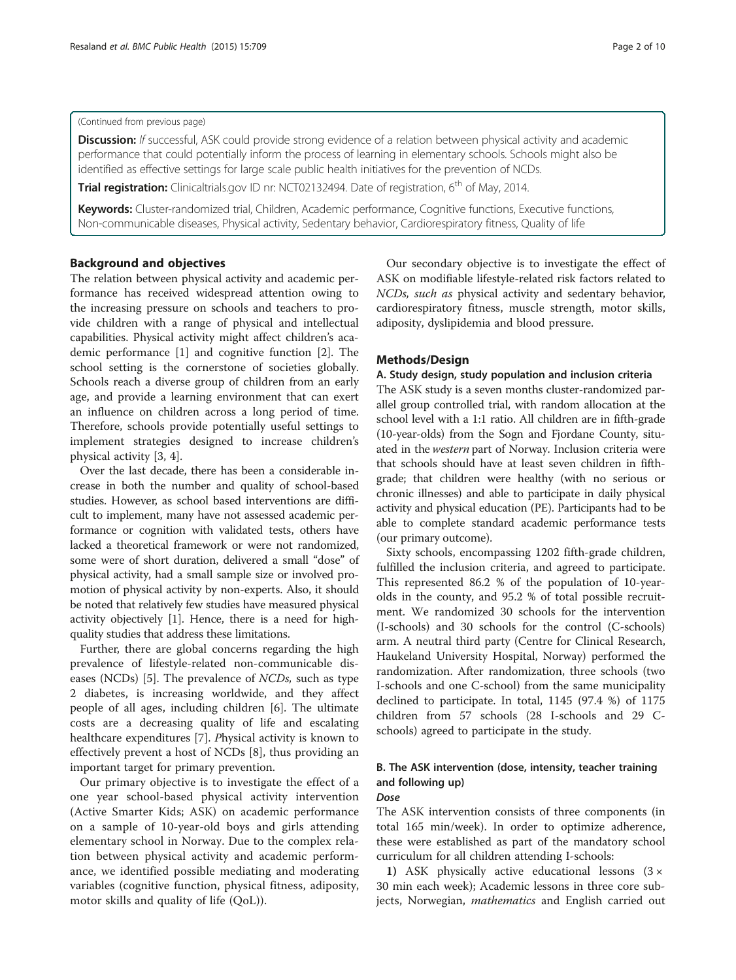# (Continued from previous page)

Discussion: If successful, ASK could provide strong evidence of a relation between physical activity and academic performance that could potentially inform the process of learning in elementary schools. Schools might also be identified as effective settings for large scale public health initiatives for the prevention of NCDs.

Trial registration: Clinicaltrials.gov ID nr: [NCT02132494](https://www.clinicaltrials.gov/ct2/results?term=NCT02132494&Search=Search). Date of registration, 6<sup>th</sup> of May, 2014.

Keywords: Cluster-randomized trial, Children, Academic performance, Cognitive functions, Executive functions, Non-communicable diseases, Physical activity, Sedentary behavior, Cardiorespiratory fitness, Quality of life

# Background and objectives

The relation between physical activity and academic performance has received widespread attention owing to the increasing pressure on schools and teachers to provide children with a range of physical and intellectual capabilities. Physical activity might affect children's academic performance [\[1\]](#page-8-0) and cognitive function [[2\]](#page-8-0). The school setting is the cornerstone of societies globally. Schools reach a diverse group of children from an early age, and provide a learning environment that can exert an influence on children across a long period of time. Therefore, schools provide potentially useful settings to implement strategies designed to increase children's physical activity [[3](#page-8-0), [4](#page-8-0)].

Over the last decade, there has been a considerable increase in both the number and quality of school-based studies. However, as school based interventions are difficult to implement, many have not assessed academic performance or cognition with validated tests, others have lacked a theoretical framework or were not randomized, some were of short duration, delivered a small "dose" of physical activity, had a small sample size or involved promotion of physical activity by non-experts. Also, it should be noted that relatively few studies have measured physical activity objectively [\[1](#page-8-0)]. Hence, there is a need for highquality studies that address these limitations.

Further, there are global concerns regarding the high prevalence of lifestyle-related non-communicable diseases (NCDs) [[5\]](#page-8-0). The prevalence of NCDs, such as type 2 diabetes, is increasing worldwide, and they affect people of all ages, including children [[6\]](#page-8-0). The ultimate costs are a decreasing quality of life and escalating healthcare expenditures [\[7](#page-8-0)]. Physical activity is known to effectively prevent a host of NCDs [[8\]](#page-8-0), thus providing an important target for primary prevention.

Our primary objective is to investigate the effect of a one year school-based physical activity intervention (Active Smarter Kids; ASK) on academic performance on a sample of 10-year-old boys and girls attending elementary school in Norway. Due to the complex relation between physical activity and academic performance, we identified possible mediating and moderating variables (cognitive function, physical fitness, adiposity, motor skills and quality of life (QoL)).

Our secondary objective is to investigate the effect of ASK on modifiable lifestyle-related risk factors related to NCDs, such as physical activity and sedentary behavior, cardiorespiratory fitness, muscle strength, motor skills, adiposity, dyslipidemia and blood pressure.

# Methods/Design

# A. Study design, study population and inclusion criteria

The ASK study is a seven months cluster-randomized parallel group controlled trial, with random allocation at the school level with a 1:1 ratio. All children are in fifth-grade (10-year-olds) from the Sogn and Fjordane County, situated in the western part of Norway. Inclusion criteria were that schools should have at least seven children in fifthgrade; that children were healthy (with no serious or chronic illnesses) and able to participate in daily physical activity and physical education (PE). Participants had to be able to complete standard academic performance tests (our primary outcome).

Sixty schools, encompassing 1202 fifth-grade children, fulfilled the inclusion criteria, and agreed to participate. This represented 86.2 % of the population of 10-yearolds in the county, and 95.2 % of total possible recruitment. We randomized 30 schools for the intervention (I-schools) and 30 schools for the control (C-schools) arm. A neutral third party (Centre for Clinical Research, Haukeland University Hospital, Norway) performed the randomization. After randomization, three schools (two I-schools and one C-school) from the same municipality declined to participate. In total, 1145 (97.4 %) of 1175 children from 57 schools (28 I-schools and 29 Cschools) agreed to participate in the study.

# B. The ASK intervention (dose, intensity, teacher training and following up)

# Dose

The ASK intervention consists of three components (in total 165 min/week). In order to optimize adherence, these were established as part of the mandatory school curriculum for all children attending I-schools:

1) ASK physically active educational lessons  $(3 \times$ 30 min each week); Academic lessons in three core subjects, Norwegian, mathematics and English carried out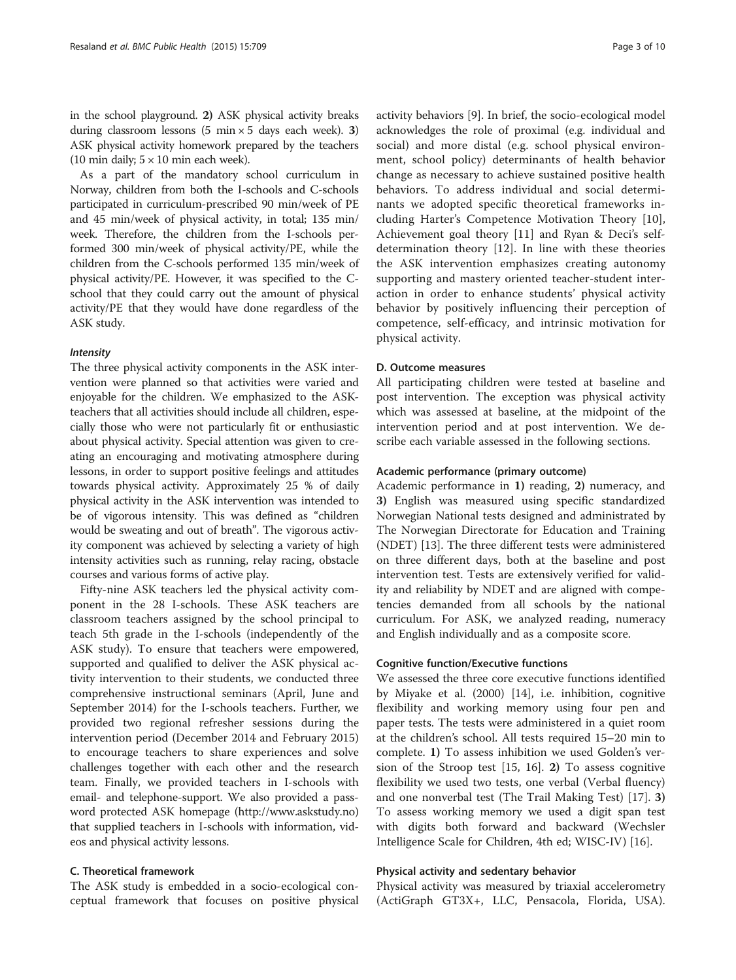in the school playground. 2) ASK physical activity breaks during classroom lessons  $(5 \text{ min} \times 5 \text{ days each week})$ . 3) ASK physical activity homework prepared by the teachers (10 min daily;  $5 \times 10$  min each week).

As a part of the mandatory school curriculum in Norway, children from both the I-schools and C-schools participated in curriculum-prescribed 90 min/week of PE and 45 min/week of physical activity, in total; 135 min/ week. Therefore, the children from the I-schools performed 300 min/week of physical activity/PE, while the children from the C-schools performed 135 min/week of physical activity/PE. However, it was specified to the Cschool that they could carry out the amount of physical activity/PE that they would have done regardless of the ASK study.

# Intensity

The three physical activity components in the ASK intervention were planned so that activities were varied and enjoyable for the children. We emphasized to the ASKteachers that all activities should include all children, especially those who were not particularly fit or enthusiastic about physical activity. Special attention was given to creating an encouraging and motivating atmosphere during lessons, in order to support positive feelings and attitudes towards physical activity. Approximately 25 % of daily physical activity in the ASK intervention was intended to be of vigorous intensity. This was defined as "children would be sweating and out of breath". The vigorous activity component was achieved by selecting a variety of high intensity activities such as running, relay racing, obstacle courses and various forms of active play.

Fifty-nine ASK teachers led the physical activity component in the 28 I-schools. These ASK teachers are classroom teachers assigned by the school principal to teach 5th grade in the I-schools (independently of the ASK study). To ensure that teachers were empowered, supported and qualified to deliver the ASK physical activity intervention to their students, we conducted three comprehensive instructional seminars (April, June and September 2014) for the I-schools teachers. Further, we provided two regional refresher sessions during the intervention period (December 2014 and February 2015) to encourage teachers to share experiences and solve challenges together with each other and the research team. Finally, we provided teachers in I-schools with email- and telephone-support. We also provided a password protected ASK homepage (<http://www.askstudy.no>) that supplied teachers in I-schools with information, videos and physical activity lessons.

# C. Theoretical framework

The ASK study is embedded in a socio-ecological conceptual framework that focuses on positive physical activity behaviors [\[9](#page-8-0)]. In brief, the socio-ecological model acknowledges the role of proximal (e.g. individual and social) and more distal (e.g. school physical environment, school policy) determinants of health behavior change as necessary to achieve sustained positive health behaviors. To address individual and social determinants we adopted specific theoretical frameworks including Harter's Competence Motivation Theory [\[10](#page-8-0)], Achievement goal theory [\[11](#page-8-0)] and Ryan & Deci's selfdetermination theory [[12\]](#page-8-0). In line with these theories the ASK intervention emphasizes creating autonomy supporting and mastery oriented teacher-student interaction in order to enhance students' physical activity behavior by positively influencing their perception of competence, self-efficacy, and intrinsic motivation for physical activity.

# D. Outcome measures

All participating children were tested at baseline and post intervention. The exception was physical activity which was assessed at baseline, at the midpoint of the intervention period and at post intervention. We describe each variable assessed in the following sections.

# Academic performance (primary outcome)

Academic performance in 1) reading, 2) numeracy, and 3) English was measured using specific standardized Norwegian National tests designed and administrated by The Norwegian Directorate for Education and Training (NDET) [[13\]](#page-8-0). The three different tests were administered on three different days, both at the baseline and post intervention test. Tests are extensively verified for validity and reliability by NDET and are aligned with competencies demanded from all schools by the national curriculum. For ASK, we analyzed reading, numeracy and English individually and as a composite score.

# Cognitive function/Executive functions

We assessed the three core executive functions identified by Miyake et al. (2000) [\[14\]](#page-8-0), i.e. inhibition, cognitive flexibility and working memory using four pen and paper tests. The tests were administered in a quiet room at the children's school. All tests required 15–20 min to complete. 1) To assess inhibition we used Golden's version of the Stroop test [\[15, 16](#page-8-0)]. 2) To assess cognitive flexibility we used two tests, one verbal (Verbal fluency) and one nonverbal test (The Trail Making Test) [[17](#page-8-0)]. 3) To assess working memory we used a digit span test with digits both forward and backward (Wechsler Intelligence Scale for Children, 4th ed; WISC-IV) [\[16](#page-8-0)].

# Physical activity and sedentary behavior

Physical activity was measured by triaxial accelerometry (ActiGraph GT3X+, LLC, Pensacola, Florida, USA).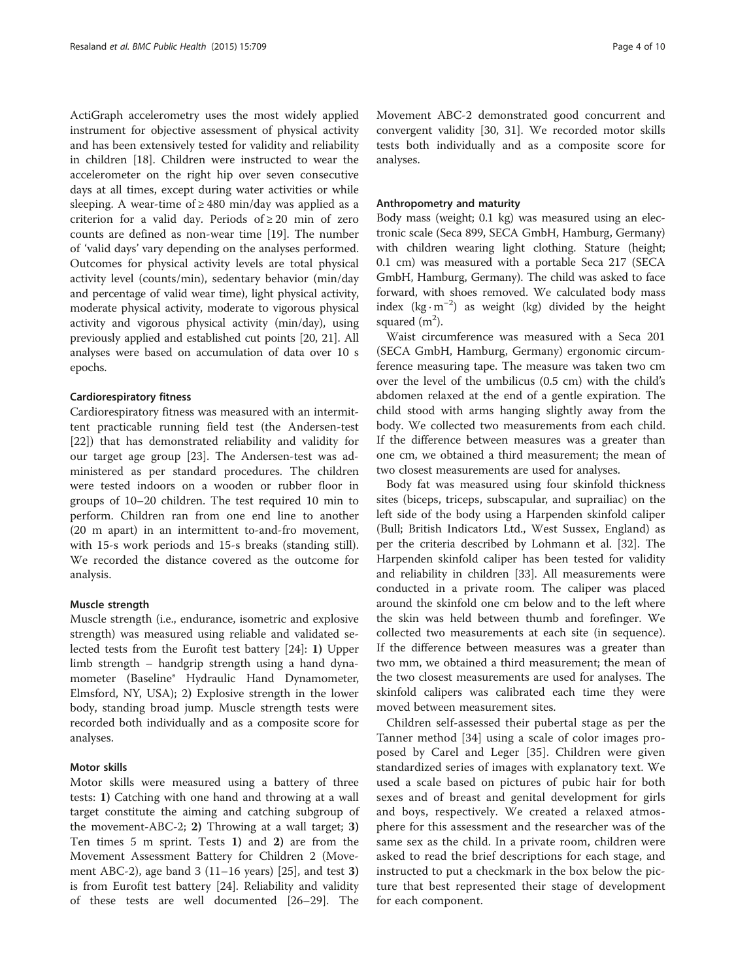ActiGraph accelerometry uses the most widely applied instrument for objective assessment of physical activity and has been extensively tested for validity and reliability in children [[18\]](#page-8-0). Children were instructed to wear the accelerometer on the right hip over seven consecutive days at all times, except during water activities or while sleeping. A wear-time of  $\geq 480$  min/day was applied as a criterion for a valid day. Periods of  $\geq 20$  min of zero counts are defined as non-wear time [\[19\]](#page-8-0). The number of 'valid days' vary depending on the analyses performed. Outcomes for physical activity levels are total physical activity level (counts/min), sedentary behavior (min/day and percentage of valid wear time), light physical activity, moderate physical activity, moderate to vigorous physical activity and vigorous physical activity (min/day), using previously applied and established cut points [\[20](#page-8-0), [21](#page-8-0)]. All analyses were based on accumulation of data over 10 s epochs.

# Cardiorespiratory fitness

Cardiorespiratory fitness was measured with an intermittent practicable running field test (the Andersen-test [[22\]](#page-8-0)) that has demonstrated reliability and validity for our target age group [\[23](#page-8-0)]. The Andersen-test was administered as per standard procedures. The children were tested indoors on a wooden or rubber floor in groups of 10–20 children. The test required 10 min to perform. Children ran from one end line to another (20 m apart) in an intermittent to-and-fro movement, with 15-s work periods and 15-s breaks (standing still). We recorded the distance covered as the outcome for analysis.

# Muscle strength

Muscle strength (i.e., endurance, isometric and explosive strength) was measured using reliable and validated selected tests from the Eurofit test battery [[24](#page-8-0)]: 1) Upper limb strength – handgrip strength using a hand dynamometer (Baseline® Hydraulic Hand Dynamometer, Elmsford, NY, USA); 2) Explosive strength in the lower body, standing broad jump. Muscle strength tests were recorded both individually and as a composite score for analyses.

# Motor skills

Motor skills were measured using a battery of three tests: 1) Catching with one hand and throwing at a wall target constitute the aiming and catching subgroup of the movement-ABC-2; 2) Throwing at a wall target; 3) Ten times 5 m sprint. Tests 1) and 2) are from the Movement Assessment Battery for Children 2 (Movement ABC-2), age band  $3(11-16 \text{ years})$  [[25\]](#page-8-0), and test 3) is from Eurofit test battery [\[24\]](#page-8-0). Reliability and validity of these tests are well documented [\[26](#page-8-0)–[29](#page-8-0)]. The Movement ABC-2 demonstrated good concurrent and convergent validity [[30,](#page-8-0) [31](#page-9-0)]. We recorded motor skills tests both individually and as a composite score for analyses.

# Anthropometry and maturity

Body mass (weight; 0.1 kg) was measured using an electronic scale (Seca 899, SECA GmbH, Hamburg, Germany) with children wearing light clothing. Stature (height; 0.1 cm) was measured with a portable Seca 217 (SECA GmbH, Hamburg, Germany). The child was asked to face forward, with shoes removed. We calculated body mass index  $(kg \cdot m^{-2})$  as weight (kg) divided by the height squared  $(m<sup>2</sup>)$ .

Waist circumference was measured with a Seca 201 (SECA GmbH, Hamburg, Germany) ergonomic circumference measuring tape. The measure was taken two cm over the level of the umbilicus (0.5 cm) with the child's abdomen relaxed at the end of a gentle expiration. The child stood with arms hanging slightly away from the body. We collected two measurements from each child. If the difference between measures was a greater than one cm, we obtained a third measurement; the mean of two closest measurements are used for analyses.

Body fat was measured using four skinfold thickness sites (biceps, triceps, subscapular, and suprailiac) on the left side of the body using a Harpenden skinfold caliper (Bull; British Indicators Ltd., West Sussex, England) as per the criteria described by Lohmann et al. [[32\]](#page-9-0). The Harpenden skinfold caliper has been tested for validity and reliability in children [[33\]](#page-9-0). All measurements were conducted in a private room. The caliper was placed around the skinfold one cm below and to the left where the skin was held between thumb and forefinger. We collected two measurements at each site (in sequence). If the difference between measures was a greater than two mm, we obtained a third measurement; the mean of the two closest measurements are used for analyses. The skinfold calipers was calibrated each time they were moved between measurement sites.

Children self-assessed their pubertal stage as per the Tanner method [[34\]](#page-9-0) using a scale of color images proposed by Carel and Leger [[35\]](#page-9-0). Children were given standardized series of images with explanatory text. We used a scale based on pictures of pubic hair for both sexes and of breast and genital development for girls and boys, respectively. We created a relaxed atmosphere for this assessment and the researcher was of the same sex as the child. In a private room, children were asked to read the brief descriptions for each stage, and instructed to put a checkmark in the box below the picture that best represented their stage of development for each component.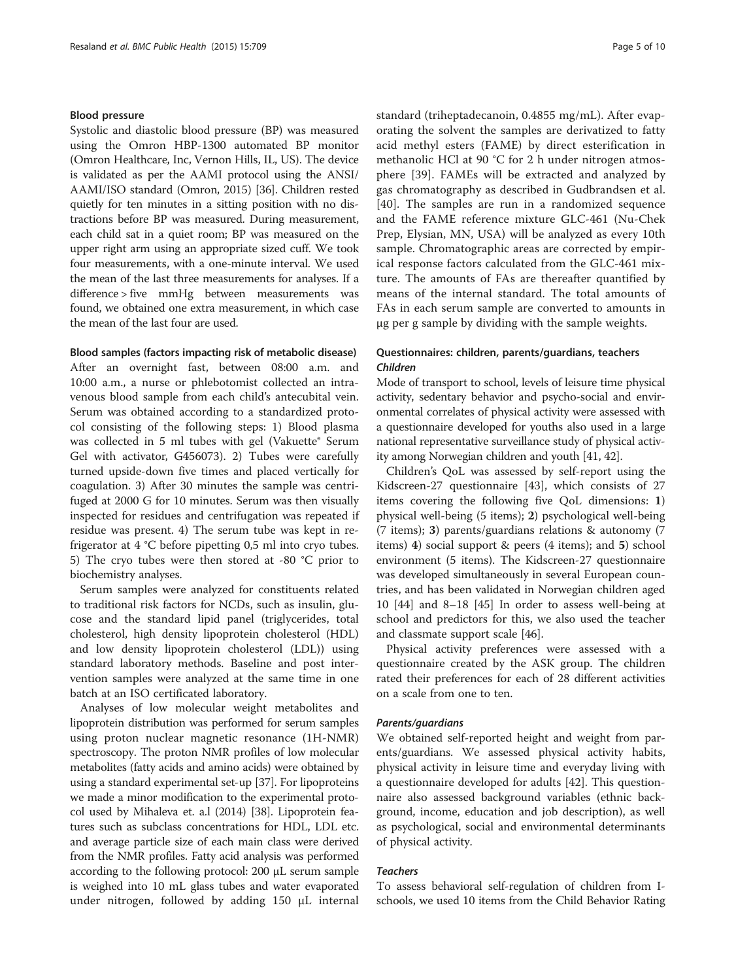# Blood pressure

Systolic and diastolic blood pressure (BP) was measured using the Omron HBP-1300 automated BP monitor (Omron Healthcare, Inc, Vernon Hills, IL, US). The device is validated as per the AAMI protocol using the ANSI/ AAMI/ISO standard (Omron, 2015) [\[36\]](#page-9-0). Children rested quietly for ten minutes in a sitting position with no distractions before BP was measured. During measurement, each child sat in a quiet room; BP was measured on the upper right arm using an appropriate sized cuff. We took four measurements, with a one-minute interval. We used the mean of the last three measurements for analyses. If a difference > five mmHg between measurements was found, we obtained one extra measurement, in which case the mean of the last four are used.

# Blood samples (factors impacting risk of metabolic disease)

After an overnight fast, between 08:00 a.m. and 10:00 a.m., a nurse or phlebotomist collected an intravenous blood sample from each child's antecubital vein. Serum was obtained according to a standardized protocol consisting of the following steps: 1) Blood plasma was collected in 5 ml tubes with gel (Vakuette® Serum Gel with activator, G456073). 2) Tubes were carefully turned upside-down five times and placed vertically for coagulation. 3) After 30 minutes the sample was centrifuged at 2000 G for 10 minutes. Serum was then visually inspected for residues and centrifugation was repeated if residue was present. 4) The serum tube was kept in refrigerator at 4 °C before pipetting 0,5 ml into cryo tubes. 5) The cryo tubes were then stored at -80 °C prior to biochemistry analyses.

Serum samples were analyzed for constituents related to traditional risk factors for NCDs, such as insulin, glucose and the standard lipid panel (triglycerides, total cholesterol, high density lipoprotein cholesterol (HDL) and low density lipoprotein cholesterol (LDL)) using standard laboratory methods. Baseline and post intervention samples were analyzed at the same time in one batch at an ISO certificated laboratory.

Analyses of low molecular weight metabolites and lipoprotein distribution was performed for serum samples using proton nuclear magnetic resonance (1H-NMR) spectroscopy. The proton NMR profiles of low molecular metabolites (fatty acids and amino acids) were obtained by using a standard experimental set-up [\[37](#page-9-0)]. For lipoproteins we made a minor modification to the experimental protocol used by Mihaleva et. a.l (2014) [\[38\]](#page-9-0). Lipoprotein features such as subclass concentrations for HDL, LDL etc. and average particle size of each main class were derived from the NMR profiles. Fatty acid analysis was performed according to the following protocol: 200 µL serum sample is weighed into 10 mL glass tubes and water evaporated under nitrogen, followed by adding 150 µL internal standard (triheptadecanoin, 0.4855 mg/mL). After evaporating the solvent the samples are derivatized to fatty acid methyl esters (FAME) by direct esterification in methanolic HCl at 90 °C for 2 h under nitrogen atmosphere [[39](#page-9-0)]. FAMEs will be extracted and analyzed by gas chromatography as described in Gudbrandsen et al. [[40](#page-9-0)]. The samples are run in a randomized sequence and the FAME reference mixture GLC-461 (Nu-Chek Prep, Elysian, MN, USA) will be analyzed as every 10th sample. Chromatographic areas are corrected by empirical response factors calculated from the GLC-461 mixture. The amounts of FAs are thereafter quantified by means of the internal standard. The total amounts of FAs in each serum sample are converted to amounts in μg per g sample by dividing with the sample weights.

# Questionnaires: children, parents/guardians, teachers Children

Mode of transport to school, levels of leisure time physical activity, sedentary behavior and psycho-social and environmental correlates of physical activity were assessed with a questionnaire developed for youths also used in a large national representative surveillance study of physical activity among Norwegian children and youth [[41](#page-9-0), [42\]](#page-9-0).

Children's QoL was assessed by self-report using the Kidscreen-27 questionnaire [[43\]](#page-9-0), which consists of 27 items covering the following five QoL dimensions: 1) physical well-being (5 items); 2) psychological well-being (7 items); 3) parents/guardians relations & autonomy (7 items) 4) social support & peers (4 items); and 5) school environment (5 items). The Kidscreen-27 questionnaire was developed simultaneously in several European countries, and has been validated in Norwegian children aged 10 [[44\]](#page-9-0) and 8–18 [[45\]](#page-9-0) In order to assess well-being at school and predictors for this, we also used the teacher and classmate support scale [[46\]](#page-9-0).

Physical activity preferences were assessed with a questionnaire created by the ASK group. The children rated their preferences for each of 28 different activities on a scale from one to ten.

# Parents/guardians

We obtained self-reported height and weight from parents/guardians. We assessed physical activity habits, physical activity in leisure time and everyday living with a questionnaire developed for adults [[42](#page-9-0)]. This questionnaire also assessed background variables (ethnic background, income, education and job description), as well as psychological, social and environmental determinants of physical activity.

# **Teachers**

To assess behavioral self-regulation of children from Ischools, we used 10 items from the Child Behavior Rating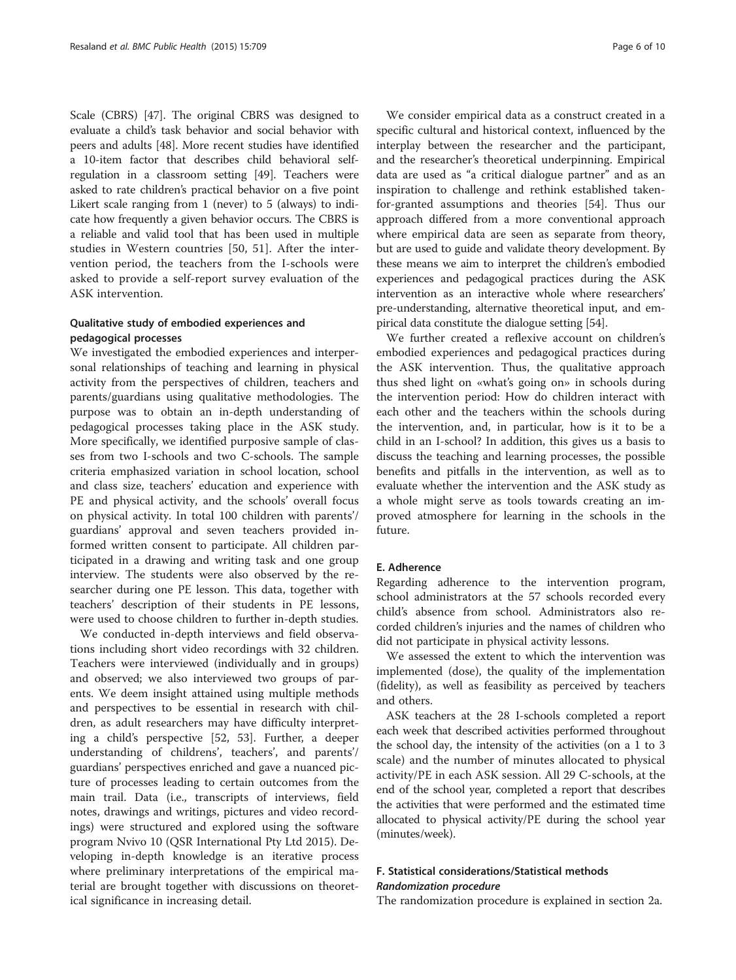Scale (CBRS) [\[47\]](#page-9-0). The original CBRS was designed to evaluate a child's task behavior and social behavior with peers and adults [\[48](#page-9-0)]. More recent studies have identified a 10-item factor that describes child behavioral selfregulation in a classroom setting [[49](#page-9-0)]. Teachers were asked to rate children's practical behavior on a five point Likert scale ranging from 1 (never) to 5 (always) to indicate how frequently a given behavior occurs. The CBRS is a reliable and valid tool that has been used in multiple studies in Western countries [[50](#page-9-0), [51\]](#page-9-0). After the intervention period, the teachers from the I-schools were asked to provide a self-report survey evaluation of the ASK intervention.

# Qualitative study of embodied experiences and pedagogical processes

We investigated the embodied experiences and interpersonal relationships of teaching and learning in physical activity from the perspectives of children, teachers and parents/guardians using qualitative methodologies. The purpose was to obtain an in-depth understanding of pedagogical processes taking place in the ASK study. More specifically, we identified purposive sample of classes from two I-schools and two C-schools. The sample criteria emphasized variation in school location, school and class size, teachers' education and experience with PE and physical activity, and the schools' overall focus on physical activity. In total 100 children with parents'/ guardians' approval and seven teachers provided informed written consent to participate. All children participated in a drawing and writing task and one group interview. The students were also observed by the researcher during one PE lesson. This data, together with teachers' description of their students in PE lessons, were used to choose children to further in-depth studies.

We conducted in-depth interviews and field observations including short video recordings with 32 children. Teachers were interviewed (individually and in groups) and observed; we also interviewed two groups of parents. We deem insight attained using multiple methods and perspectives to be essential in research with children, as adult researchers may have difficulty interpreting a child's perspective [[52, 53\]](#page-9-0). Further, a deeper understanding of childrens', teachers', and parents'/ guardians' perspectives enriched and gave a nuanced picture of processes leading to certain outcomes from the main trail. Data (i.e., transcripts of interviews, field notes, drawings and writings, pictures and video recordings) were structured and explored using the software program Nvivo 10 (QSR International Pty Ltd 2015). Developing in-depth knowledge is an iterative process where preliminary interpretations of the empirical material are brought together with discussions on theoretical significance in increasing detail.

We consider empirical data as a construct created in a specific cultural and historical context, influenced by the interplay between the researcher and the participant, and the researcher's theoretical underpinning. Empirical data are used as "a critical dialogue partner" and as an inspiration to challenge and rethink established takenfor-granted assumptions and theories [\[54](#page-9-0)]. Thus our approach differed from a more conventional approach where empirical data are seen as separate from theory, but are used to guide and validate theory development. By these means we aim to interpret the children's embodied experiences and pedagogical practices during the ASK intervention as an interactive whole where researchers' pre-understanding, alternative theoretical input, and empirical data constitute the dialogue setting [\[54\]](#page-9-0).

We further created a reflexive account on children's embodied experiences and pedagogical practices during the ASK intervention. Thus, the qualitative approach thus shed light on «what's going on» in schools during the intervention period: How do children interact with each other and the teachers within the schools during the intervention, and, in particular, how is it to be a child in an I-school? In addition, this gives us a basis to discuss the teaching and learning processes, the possible benefits and pitfalls in the intervention, as well as to evaluate whether the intervention and the ASK study as a whole might serve as tools towards creating an improved atmosphere for learning in the schools in the future.

# E. Adherence

Regarding adherence to the intervention program, school administrators at the 57 schools recorded every child's absence from school. Administrators also recorded children's injuries and the names of children who did not participate in physical activity lessons.

We assessed the extent to which the intervention was implemented (dose), the quality of the implementation (fidelity), as well as feasibility as perceived by teachers and others.

ASK teachers at the 28 I-schools completed a report each week that described activities performed throughout the school day, the intensity of the activities (on a 1 to 3 scale) and the number of minutes allocated to physical activity/PE in each ASK session. All 29 C-schools, at the end of the school year, completed a report that describes the activities that were performed and the estimated time allocated to physical activity/PE during the school year (minutes/week).

# F. Statistical considerations/Statistical methods Randomization procedure

The randomization procedure is explained in section 2a.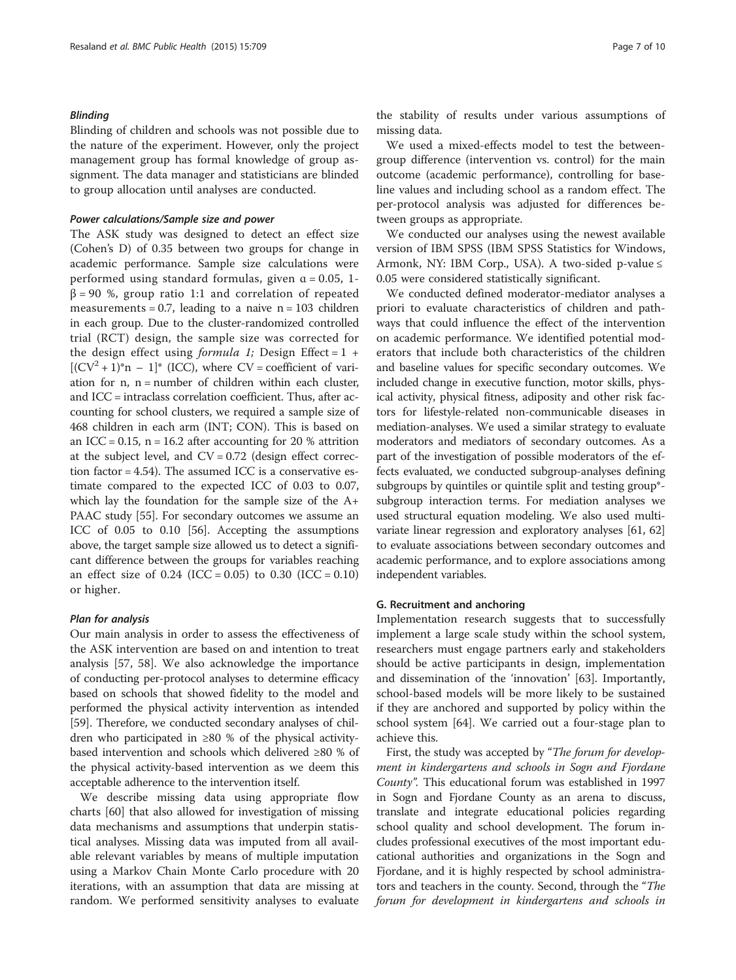#### Blinding

Blinding of children and schools was not possible due to the nature of the experiment. However, only the project management group has formal knowledge of group assignment. The data manager and statisticians are blinded to group allocation until analyses are conducted.

# Power calculations/Sample size and power

The ASK study was designed to detect an effect size (Cohen's D) of 0.35 between two groups for change in academic performance. Sample size calculations were performed using standard formulas, given  $\alpha$  = 0.05, 1- $\beta$  = 90 %, group ratio 1:1 and correlation of repeated measurements =  $0.7$ , leading to a naive n =  $103$  children in each group. Due to the cluster-randomized controlled trial (RCT) design, the sample size was corrected for the design effect using *formula 1*; Design Effect =  $1 +$  $[CCV<sup>2</sup> + 1)*n - 1]*$  (ICC), where CV = coefficient of variation for  $n$ ,  $n =$  number of children within each cluster, and ICC = intraclass correlation coefficient. Thus, after accounting for school clusters, we required a sample size of 468 children in each arm (INT; CON). This is based on an ICC =  $0.15$ , n = 16.2 after accounting for 20 % attrition at the subject level, and  $CV = 0.72$  (design effect correction factor = 4.54). The assumed ICC is a conservative estimate compared to the expected ICC of 0.03 to 0.07, which lay the foundation for the sample size of the A+ PAAC study [\[55\]](#page-9-0). For secondary outcomes we assume an ICC of 0.05 to 0.10 [\[56\]](#page-9-0). Accepting the assumptions above, the target sample size allowed us to detect a significant difference between the groups for variables reaching an effect size of  $0.24$  (ICC = 0.05) to 0.30 (ICC = 0.10) or higher.

# Plan for analysis

Our main analysis in order to assess the effectiveness of the ASK intervention are based on and intention to treat analysis [\[57](#page-9-0), [58\]](#page-9-0). We also acknowledge the importance of conducting per-protocol analyses to determine efficacy based on schools that showed fidelity to the model and performed the physical activity intervention as intended [[59](#page-9-0)]. Therefore, we conducted secondary analyses of children who participated in ≥80 % of the physical activitybased intervention and schools which delivered ≥80 % of the physical activity-based intervention as we deem this acceptable adherence to the intervention itself.

We describe missing data using appropriate flow charts [\[60\]](#page-9-0) that also allowed for investigation of missing data mechanisms and assumptions that underpin statistical analyses. Missing data was imputed from all available relevant variables by means of multiple imputation using a Markov Chain Monte Carlo procedure with 20 iterations, with an assumption that data are missing at random. We performed sensitivity analyses to evaluate

the stability of results under various assumptions of missing data.

We used a mixed-effects model to test the betweengroup difference (intervention vs. control) for the main outcome (academic performance), controlling for baseline values and including school as a random effect. The per-protocol analysis was adjusted for differences between groups as appropriate.

We conducted our analyses using the newest available version of IBM SPSS (IBM SPSS Statistics for Windows, Armonk, NY: IBM Corp., USA). A two-sided p-value ≤ 0.05 were considered statistically significant.

We conducted defined moderator-mediator analyses a priori to evaluate characteristics of children and pathways that could influence the effect of the intervention on academic performance. We identified potential moderators that include both characteristics of the children and baseline values for specific secondary outcomes. We included change in executive function, motor skills, physical activity, physical fitness, adiposity and other risk factors for lifestyle-related non-communicable diseases in mediation-analyses. We used a similar strategy to evaluate moderators and mediators of secondary outcomes. As a part of the investigation of possible moderators of the effects evaluated, we conducted subgroup-analyses defining subgroups by quintiles or quintile split and testing group\* subgroup interaction terms. For mediation analyses we used structural equation modeling. We also used multivariate linear regression and exploratory analyses [[61](#page-9-0), [62](#page-9-0)] to evaluate associations between secondary outcomes and academic performance, and to explore associations among independent variables.

# G. Recruitment and anchoring

Implementation research suggests that to successfully implement a large scale study within the school system, researchers must engage partners early and stakeholders should be active participants in design, implementation and dissemination of the 'innovation' [[63](#page-9-0)]. Importantly, school-based models will be more likely to be sustained if they are anchored and supported by policy within the school system [\[64](#page-9-0)]. We carried out a four-stage plan to achieve this.

First, the study was accepted by "The forum for development in kindergartens and schools in Sogn and Fjordane County". This educational forum was established in 1997 in Sogn and Fjordane County as an arena to discuss, translate and integrate educational policies regarding school quality and school development. The forum includes professional executives of the most important educational authorities and organizations in the Sogn and Fjordane, and it is highly respected by school administrators and teachers in the county. Second, through the "The forum for development in kindergartens and schools in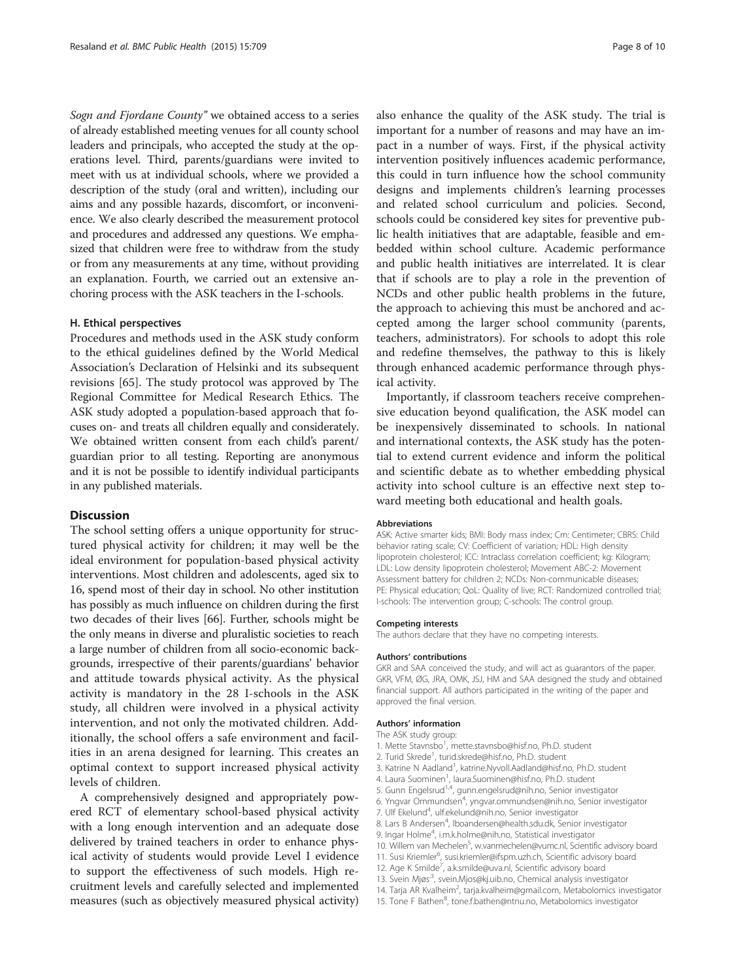Sogn and Fjordane County" we obtained access to a series of already established meeting venues for all county school leaders and principals, who accepted the study at the operations level. Third, parents/guardians were invited to meet with us at individual schools, where we provided a description of the study (oral and written), including our aims and any possible hazards, discomfort, or inconvenience. We also clearly described the measurement protocol and procedures and addressed any questions. We emphasized that children were free to withdraw from the study or from any measurements at any time, without providing an explanation. Fourth, we carried out an extensive anchoring process with the ASK teachers in the I-schools.

# H. Ethical perspectives

Procedures and methods used in the ASK study conform to the ethical guidelines defined by the World Medical Association's Declaration of Helsinki and its subsequent revisions [\[65](#page-9-0)]. The study protocol was approved by The Regional Committee for Medical Research Ethics. The ASK study adopted a population-based approach that focuses on- and treats all children equally and considerately. We obtained written consent from each child's parent/ guardian prior to all testing. Reporting are anonymous and it is not be possible to identify individual participants in any published materials.

# **Discussion**

The school setting offers a unique opportunity for structured physical activity for children; it may well be the ideal environment for population-based physical activity interventions. Most children and adolescents, aged six to 16, spend most of their day in school. No other institution has possibly as much influence on children during the first two decades of their lives [[66](#page-9-0)]. Further, schools might be the only means in diverse and pluralistic societies to reach a large number of children from all socio-economic backgrounds, irrespective of their parents/guardians' behavior and attitude towards physical activity. As the physical activity is mandatory in the 28 I-schools in the ASK study, all children were involved in a physical activity intervention, and not only the motivated children. Additionally, the school offers a safe environment and facilities in an arena designed for learning. This creates an optimal context to support increased physical activity levels of children.

A comprehensively designed and appropriately powered RCT of elementary school-based physical activity with a long enough intervention and an adequate dose delivered by trained teachers in order to enhance physical activity of students would provide Level I evidence to support the effectiveness of such models. High recruitment levels and carefully selected and implemented measures (such as objectively measured physical activity)

also enhance the quality of the ASK study. The trial is important for a number of reasons and may have an impact in a number of ways. First, if the physical activity intervention positively influences academic performance, this could in turn influence how the school community designs and implements children's learning processes and related school curriculum and policies. Second, schools could be considered key sites for preventive public health initiatives that are adaptable, feasible and embedded within school culture. Academic performance and public health initiatives are interrelated. It is clear that if schools are to play a role in the prevention of NCDs and other public health problems in the future, the approach to achieving this must be anchored and accepted among the larger school community (parents, teachers, administrators). For schools to adopt this role and redefine themselves, the pathway to this is likely through enhanced academic performance through physical activity.

Importantly, if classroom teachers receive comprehensive education beyond qualification, the ASK model can be inexpensively disseminated to schools. In national and international contexts, the ASK study has the potential to extend current evidence and inform the political and scientific debate as to whether embedding physical activity into school culture is an effective next step toward meeting both educational and health goals.

#### Abbreviations

ASK: Active smarter kids; BMI: Body mass index; Cm: Centimeter; CBRS: Child behavior rating scale; CV: Coefficient of variation; HDL: High density lipoprotein cholesterol; ICC: Intraclass correlation coefficient; kg: Kilogram; LDL: Low density lipoprotein cholesterol; Movement ABC-2: Movement Assessment battery for children 2; NCDs: Non-communicable diseases; PE: Physical education; QoL: Quality of live; RCT: Randomized controlled trial; I-schools: The intervention group; C-schools: The control group.

#### Competing interests

The authors declare that they have no competing interests.

#### Authors' contributions

GKR and SAA conceived the study, and will act as guarantors of the paper. GKR, VFM, ØG, JRA, OMK, JSJ, HM and SAA designed the study and obtained financial support. All authors participated in the writing of the paper and approved the final version.

# Authors' information

The ASK study group:

- 1. Mette Stavnsbo<sup>1</sup>, mette.stavnsbo@hisf.no, Ph.D. student
- 2. Turid Skrede<sup>1</sup>, turid.skrede@hisf.no, Ph.D. student
- 3. Katrine N Aadland<sup>1</sup>, katrine.Nyvoll.Aadland@hisf.no, Ph.D. student
- 4. Laura Suominen<sup>1</sup>, laura. Suominen@hisf.no, Ph.D. student
- 5. Gunn Engelsrud<sup>1,4</sup>, gunn.engelsrud@nih.no, Senior investigator
- 6. Yngvar Ommundsen<sup>4</sup>, yngvar.ommundsen@nih.no, Senior investigator
- 7. Ulf Ekelund<sup>4</sup>, ulf.ekelund@nih.no, Senior investigator
	- 8. Lars B Andersen<sup>4</sup>, Iboandersen@health.sdu.dk, Senior investigator
	- 9. Ingar Holme<sup>4</sup>, i.m.k.holme@nih.no, Statistical investigator
	- 10. Willem van Mechelen<sup>5</sup>, w.vanmechelen@vumc.nl, Scientific advisory board
	- 11. Susi Kriemler<sup>6</sup>, susi.kriemler@ifspm.uzh.ch, Scientific advisory board
	- 12. Age K Smilde<sup>7</sup>, a.k.smilde@uva.nl, Scientific advisory board
	- 13. Svein Mjøs<sup>3</sup>, svein.Mjos@kj.uib.no, Chemical analysis investigator
	- 14. Tarja AR Kvalheim<sup>2</sup>, tarja.kvalheim@gmail.com, Metabolomics investigator
	- 15. Tone F Bathen<sup>8</sup>, tone.f.bathen@ntnu.no, Metabolomics investigator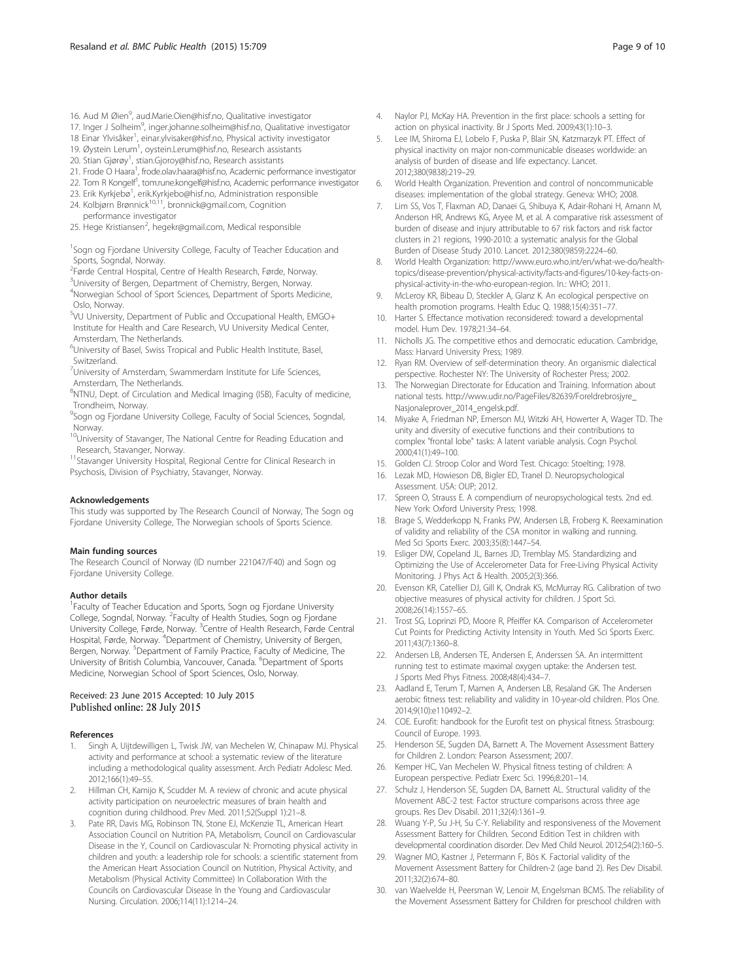- <span id="page-8-0"></span>17. Inger J Solheim<sup>9</sup>, inger.johanne.solheim@hisf.no, Qualitative investigator
- 18 Einar Ylvisåker<sup>1</sup>, einar.ylvisaker@hisf.no, Physical activity investigator
- 19. Øystein Lerum<sup>1</sup>, oystein.Lerum@hisf.no, Research assistants
- 20. Stian Gjørøy<sup>1</sup>, stian.Gjoroy@hisf.no, Research assistants
- 21. Frode O Haara<sup>1</sup>, frode.olav.haara@hisf.no, Academic performance investigator
- 22. Tom R Kongelf<sup>1</sup>, tom.rune.kongelf@hisf.no, Academic performance investigator
- 23. Erik Kyrkjebø<sup>1</sup>, erik.Kyrkjebo@hisf.no, Administration responsible
- 24. Kolbjørn Brønnick<sup>10,11</sup>, bronnick@gmail.com, Cognition performance investigator
- 25. Hege Kristiansen<sup>2</sup>, hegekr@gmail.com, Medical responsible

<sup>1</sup>Sogn og Fjordane University College, Faculty of Teacher Education and Sports, Sogndal, Norway.

- <sup>2</sup> Førde Central Hospital, Centre of Health Research, Førde, Norway.
- <sup>3</sup>University of Bergen, Department of Chemistry, Bergen, Norway. 4 Norwegian School of Sport Sciences, Department of Sports Medicine, Oslo, Norway.
- 5 VU University, Department of Public and Occupational Health, EMGO+ Institute for Health and Care Research, VU University Medical Center, Amsterdam, The Netherlands.
- <sup>6</sup>University of Basel, Swiss Tropical and Public Health Institute, Basel, Switzerland.
- <sup>7</sup>University of Amsterdam, Swammerdam Institute for Life Sciences, Amsterdam, The Netherlands.
- <sup>8</sup>NTNU, Dept. of Circulation and Medical Imaging (ISB), Faculty of medicine, Trondheim, Norway.
- <sup>9</sup>Sogn og Fjordane University College, Faculty of Social Sciences, Sogndal, Norway.
- <sup>10</sup>University of Stavanger, The National Centre for Reading Education and Research, Stavanger, Norway.
- <sup>11</sup>Stavanger University Hospital, Regional Centre for Clinical Research in Psychosis, Division of Psychiatry, Stavanger, Norway.

#### Acknowledgements

This study was supported by The Research Council of Norway, The Sogn og Fjordane University College, The Norwegian schools of Sports Science.

#### Main funding sources

The Research Council of Norway (ID number 221047/F40) and Sogn og Fjordane University College.

#### Author details

<sup>1</sup> Faculty of Teacher Education and Sports, Sogn og Fjordane University College, Sogndal, Norway. <sup>2</sup> Faculty of Health Studies, Sogn og Fjordane University College, Førde, Norway. <sup>3</sup>Centre of Health Research, Førde Central Hospital, Førde, Norway. <sup>4</sup>Department of Chemistry, University of Bergen, Bergen, Norway. <sup>5</sup>Department of Family Practice, Faculty of Medicine, The University of British Columbia, Vancouver, Canada. <sup>6</sup>Department of Sports Medicine, Norwegian School of Sport Sciences, Oslo, Norway.

# Received: 23 June 2015 Accepted: 10 July 2015 Published online: 28 July 2015

# References

- 1. Singh A, Uijtdewilligen L, Twisk JW, van Mechelen W, Chinapaw MJ. Physical activity and performance at school: a systematic review of the literature including a methodological quality assessment. Arch Pediatr Adolesc Med. 2012;166(1):49–55.
- 2. Hillman CH, Kamijo K, Scudder M. A review of chronic and acute physical activity participation on neuroelectric measures of brain health and cognition during childhood. Prev Med. 2011;52(Suppl 1):21–8.
- 3. Pate RR, Davis MG, Robinson TN, Stone EJ, McKenzie TL, American Heart Association Council on Nutrition PA, Metabolism, Council on Cardiovascular Disease in the Y, Council on Cardiovascular N: Promoting physical activity in children and youth: a leadership role for schools: a scientific statement from the American Heart Association Council on Nutrition, Physical Activity, and Metabolism (Physical Activity Committee) In Collaboration With the Councils on Cardiovascular Disease In the Young and Cardiovascular Nursing. Circulation. 2006;114(11):1214–24.
- 4. Naylor PJ, McKay HA. Prevention in the first place: schools a setting for action on physical inactivity. Br J Sports Med. 2009;43(1):10–3.
- 5. Lee IM, Shiroma EJ, Lobelo F, Puska P, Blair SN, Katzmarzyk PT. Effect of physical inactivity on major non-communicable diseases worldwide: an analysis of burden of disease and life expectancy. Lancet. 2012;380(9838):219–29.
- 6. World Health Organization. Prevention and control of noncommunicable diseases: implementation of the global strategy. Geneva: WHO; 2008.
- 7. Lim SS, Vos T, Flaxman AD, Danaei G, Shibuya K, Adair-Rohani H, Amann M, Anderson HR, Andrews KG, Aryee M, et al. A comparative risk assessment of burden of disease and injury attributable to 67 risk factors and risk factor clusters in 21 regions, 1990-2010: a systematic analysis for the Global Burden of Disease Study 2010. Lancet. 2012;380(9859):2224–60.
- 8. World Health Organization: [http://www.euro.who.int/en/what-we-do/health](http://www.euro.who.int/en/what-we-do/health-topics/disease-prevention/physical-activity/facts-and-figures/10-key-facts-on-physical-activity-in-the-who-european-region)[topics/disease-prevention/physical-activity/facts-and-figures/10-key-facts-on](http://www.euro.who.int/en/what-we-do/health-topics/disease-prevention/physical-activity/facts-and-figures/10-key-facts-on-physical-activity-in-the-who-european-region)[physical-activity-in-the-who-european-region.](http://www.euro.who.int/en/what-we-do/health-topics/disease-prevention/physical-activity/facts-and-figures/10-key-facts-on-physical-activity-in-the-who-european-region) In.: WHO; 2011.
- 9. McLeroy KR, Bibeau D, Steckler A, Glanz K. An ecological perspective on health promotion programs. Health Educ Q. 1988;15(4):351–77.
- 10. Harter S. Effectance motivation reconsidered: toward a developmental model. Hum Dev. 1978;21:34–64.
- 11. Nicholls JG. The competitive ethos and democratic education. Cambridge, Mass: Harvard University Press; 1989.
- 12. Ryan RM. Overview of self-determination theory. An organismic dialectical perspective. Rochester NY: The University of Rochester Press; 2002.
- 13. The Norwegian Directorate for Education and Training. Information about national tests. [http://www.udir.no/PageFiles/82639/Foreldrebrosjyre\\_](http://www.udir.no/PageFiles/82639/Foreldrebrosjyre_Nasjonaleprover_2014_engelsk.pdf) [Nasjonaleprover\\_2014\\_engelsk.pdf.](http://www.udir.no/PageFiles/82639/Foreldrebrosjyre_Nasjonaleprover_2014_engelsk.pdf)
- 14. Miyake A, Friedman NP, Emerson MJ, Witzki AH, Howerter A, Wager TD. The unity and diversity of executive functions and their contributions to complex "frontal lobe" tasks: A latent variable analysis. Cogn Psychol. 2000;41(1):49–100.
- 15. Golden CJ. Stroop Color and Word Test. Chicago: Stoelting; 1978.
- 16. Lezak MD, Howieson DB, Bigler ED, Tranel D. Neuropsychological Assessment. USA: OUP; 2012.
- 17. Spreen O, Strauss E. A compendium of neuropsychological tests. 2nd ed. New York: Oxford University Press; 1998.
- 18. Brage S, Wedderkopp N, Franks PW, Andersen LB, Froberg K. Reexamination of validity and reliability of the CSA monitor in walking and running. Med Sci Sports Exerc. 2003;35(8):1447–54.
- 19. Esliger DW, Copeland JL, Barnes JD, Tremblay MS. Standardizing and Optimizing the Use of Accelerometer Data for Free-Living Physical Activity Monitoring. J Phys Act & Health. 2005;2(3):366.
- 20. Evenson KR, Catellier DJ, Gill K, Ondrak KS, McMurray RG. Calibration of two objective measures of physical activity for children. J Sport Sci. 2008;26(14):1557–65.
- 21. Trost SG, Loprinzi PD, Moore R, Pfeiffer KA. Comparison of Accelerometer Cut Points for Predicting Activity Intensity in Youth. Med Sci Sports Exerc. 2011;43(7):1360–8.
- 22. Andersen LB, Andersen TE, Andersen E, Anderssen SA. An intermittent running test to estimate maximal oxygen uptake: the Andersen test. J Sports Med Phys Fitness. 2008;48(4):434–7.
- 23. Aadland E, Terum T, Mamen A, Andersen LB, Resaland GK. The Andersen aerobic fitness test: reliability and validity in 10-year-old children. Plos One. 2014;9(10):e110492–2.
- 24. COE. Eurofit: handbook for the Eurofit test on physical fitness. Strasbourg: Council of Europe. 1993.
- 25. Henderson SE, Sugden DA, Barnett A. The Movement Assessment Battery for Children 2. London: Pearson Assessment; 2007.
- 26. Kemper HC, Van Mechelen W. Physical fitness testing of children: A European perspective. Pediatr Exerc Sci. 1996;8:201–14.
- 27. Schulz J, Henderson SE, Sugden DA, Barnett AL. Structural validity of the Movement ABC-2 test: Factor structure comparisons across three age groups. Res Dev Disabil. 2011;32(4):1361–9.
- 28. Wuang Y-P, Su J-H, Su C-Y. Reliability and responsiveness of the Movement Assessment Battery for Children. Second Edition Test in children with developmental coordination disorder. Dev Med Child Neurol. 2012;54(2):160–5.
- 29. Wagner MO, Kastner J, Petermann F, Bös K. Factorial validity of the Movement Assessment Battery for Children-2 (age band 2). Res Dev Disabil. 2011;32(2):674–80.
- 30. van Waelvelde H, Peersman W, Lenoir M, Engelsman BCMS. The reliability of the Movement Assessment Battery for Children for preschool children with